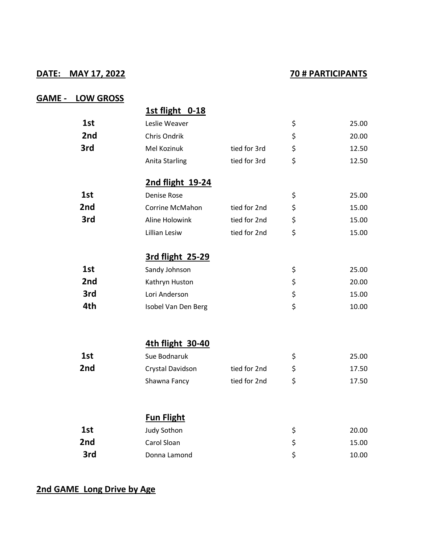## **DATE: MAY 17, 2022 70 # PARTICIPANTS**

## **GAME - LOW GROSS**

|                 | 1st flight 0-18        |              |             |
|-----------------|------------------------|--------------|-------------|
| 1st             | Leslie Weaver          |              | \$<br>25.00 |
| 2 <sub>nd</sub> | Chris Ondrik           |              | \$<br>20.00 |
| 3rd             | Mel Kozinuk            | tied for 3rd | \$<br>12.50 |
|                 | Anita Starling         | tied for 3rd | \$<br>12.50 |
|                 | 2nd flight 19-24       |              |             |
| 1st             | Denise Rose            |              | \$<br>25.00 |
| 2nd             | <b>Corrine McMahon</b> | tied for 2nd | \$<br>15.00 |
| 3rd             | Aline Holowink         | tied for 2nd | \$<br>15.00 |
|                 | Lillian Lesiw          | tied for 2nd | \$<br>15.00 |
|                 | 3rd flight 25-29       |              |             |
| 1st             | Sandy Johnson          |              | \$<br>25.00 |
| 2nd             | Kathryn Huston         |              | \$<br>20.00 |
| 3rd             | Lori Anderson          |              | \$<br>15.00 |
| 4th             | Isobel Van Den Berg    |              | \$<br>10.00 |
|                 | 4th flight 30-40       |              |             |
| 1st             | Sue Bodnaruk           |              | \$<br>25.00 |
| 2nd             | Crystal Davidson       | tied for 2nd | \$<br>17.50 |
|                 | Shawna Fancy           | tied for 2nd | \$<br>17.50 |
|                 |                        |              |             |
|                 | <b>Fun Flight</b>      |              |             |
| 1st             | <b>Judy Sothon</b>     |              | \$<br>20.00 |
| 2nd             | Carol Sloan            |              | \$<br>15.00 |
| 3rd             | Donna Lamond           |              | \$<br>10.00 |
|                 |                        |              |             |

## **2nd GAME Long Drive by Age**